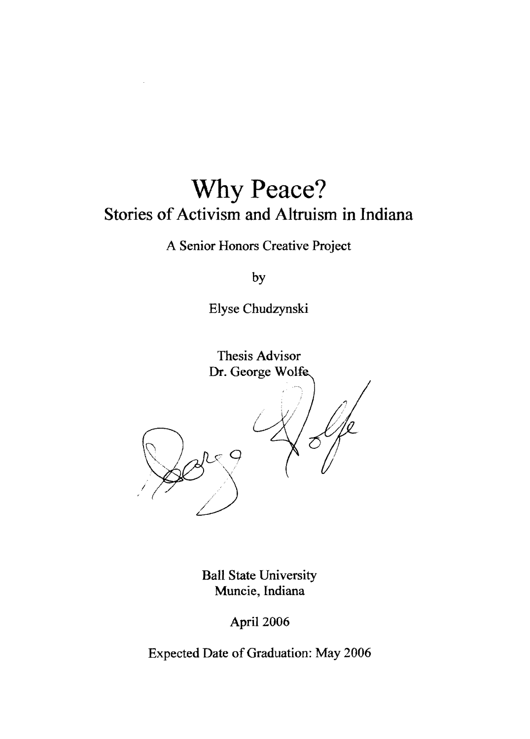# **Why Peace? Stories of Activism and Altruism in Indiana**

A Senior Honors Creative Project

by

Elyse Chudzynski

Thesis Advisor Dr. George Wolfe

I

 $89$ 

Ball State University Muncie, Indiana

!

April 2006

Expected Date of Graduation: May 2006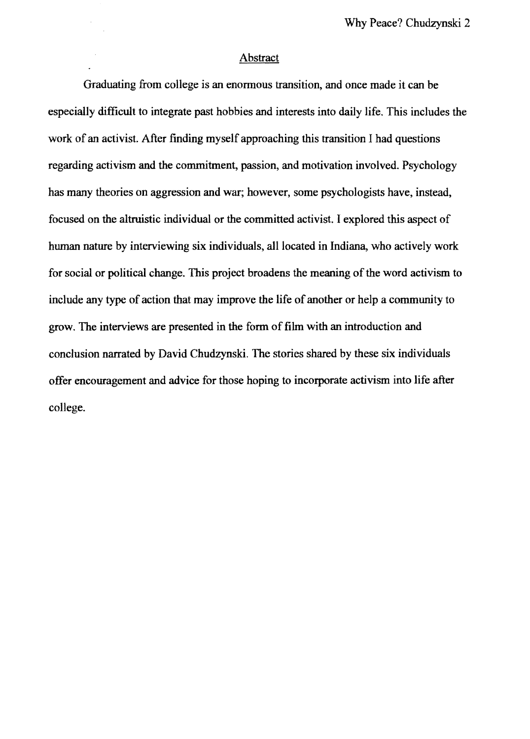#### **Abstract**

Graduating from college is an enormous transition, and once made it can be especially difficult to integrate past hobbies and interests into daily life. This includes the work of an activist. After finding myself approaching this transition I had questions regarding activism and the commitment, passion, and motivation involved. Psychology has many theories on aggression and war; however, some psychologists have, instead, focused on the altruistic individual or the committed activist. I explored this aspect of human nature by interviewing six individuals, all located in Indiana, who actively work for social or political change. This project broadens the meaning of the word activism to include any type of action that may improve the life of another or help a community to grow. The interviews are presented in the fonn of film with an introduction and conclusion narrated by David Chudzynski. The stories shared by these six individuals offer encouragement and advice for those hoping to incorporate activism into life after college.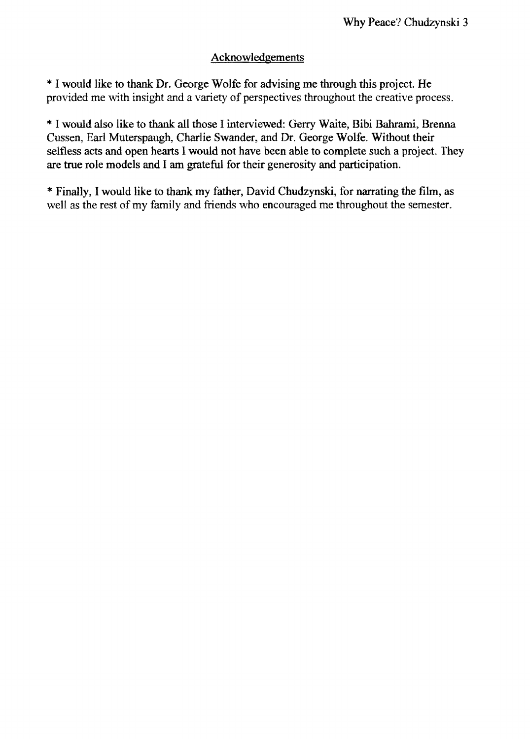# Acknowledgements

\* I would like to thank Dr. George Wolfe for advising me through this project. He provided me with insight and a variety of perspectives throughout the creative process.

\* I would also like to thank all those I interviewed: Gerry Waite, Bibi Bahrami, Brenna Cussen, Earl Muterspaugh, Charlie Swander, and Dr. George Wolfe. Without their selfless acts and open hearts I would not have been able to complete such a project. They are true role models and I am grateful for their generosity and participation.

\* Finally, I would like to thank my father, David Chudzynski, for narrating the film, as well as the rest of my family and friends who encouraged me throughout the semester.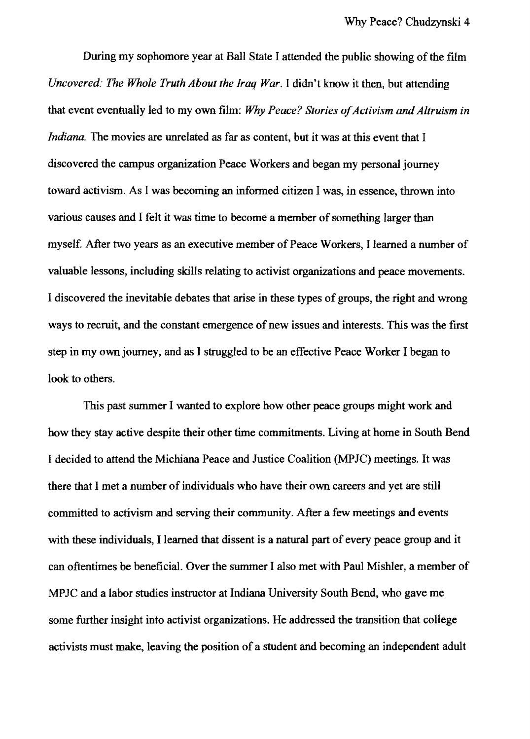During my sophomore year at Ball State I attended the public showing of the film *Uncovered: The Whole Truth About the Iraq War.* I didn't know it then, but attending that event eventually led to my own film: *Why Peace? Stories of Activism and Altruism in Indiana.* The movies are unrelated as far as content, but it was at this event that I discovered the campus organization Peace Workers and began my personal journey toward activism. As I was becoming an informed citizen I was, in essence, thrown into various causes and I felt it was time to become a member of something larger than myself. After two years as an executive member of Peace Workers, I learned a number of valuable lessons, including skills relating to activist organizations and peace movements. I discovered the inevitable debates that arise in these types of groups, the right and wrong ways to recruit, and the constant emergence of new issues and interests. This was the first step in my own journey, and as I struggled to be an effective Peace Worker I began to look to others.

This past summer I wanted to explore how other peace groups might work and how they stay active despite their other time commitments. Living at home in South Bend I decided to attend the Michiana Peace and Justice Coalition (MPJC) meetings. It was there that I met a number of individuals who have their own careers and yet are still committed to activism and serving their community. After a few meetings and events with these individuals, I learned that dissent is a natural part of every peace group and it can oftentimes be beneficial. Over the summer I also met with Paul Mishler, a member of MPJC and a labor studies instructor at Indiana University South Bend, who gave me some further insight into activist organizations. He addressed the transition that college activists must make, leaving the position of a student and becoming an independent adult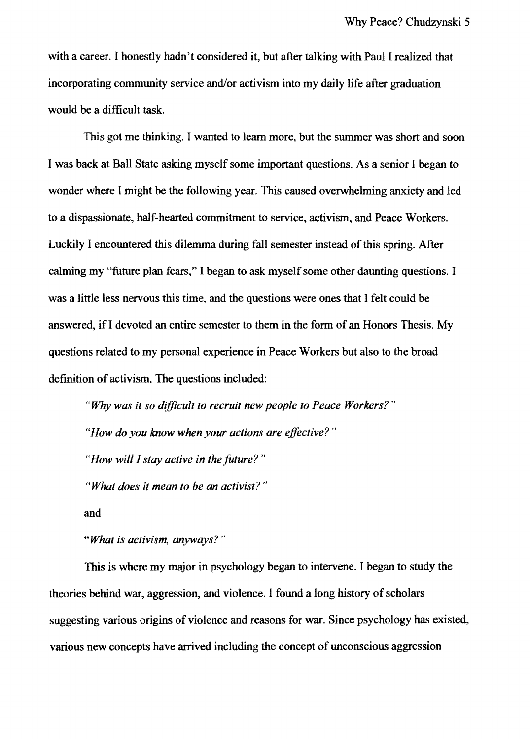with a career. I honestly hadn't considered it, but after talking with Paul I realized that incorporating community service and/or activism into my daily life after graduation would be a difficult task.

This got me thinking. I wanted to learn more, but the summer was short and soon I was back at Ball State asking myself some important questions. As a senior I began to wonder where I might be the following year. This caused overwhelming anxiety and led to a dispassionate, half-hearted commitment to service, activism, and Peace Workers. Luckily I encountered this dilemma during fall semester instead of this spring. After calming my "future plan fears," I began to ask myself some other daunting questions. I was a little less nervous this time, and the questions were ones that I felt could be answered, if I devoted an entire semester to them in the form of an Honors Thesis. My questions related to my personal experience in Peace Workers but also to the broad definition of activism. The questions included:

*"Why was it so difficult to recruit new people to Peace Workers?"* 

*"How do you know when your actions are effective?"* 

*"How will I stay active in the future? "* 

*"What does* it *mean to be an activist? "* 

and

*"What is activism, anyways?"* 

This is where my major in psychology began to intervene. I began to study the theories behind war, aggression, and violence. I found a long history of scholars suggesting various origins of violence and reasons for war. Since psychology has existed, various new concepts have arrived including the concept of unconscious aggression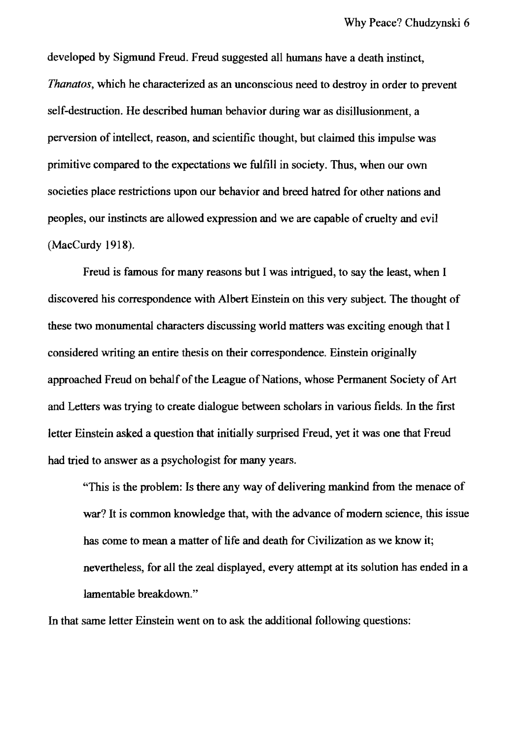developed by Sigmund Freud. Freud suggested all humans have a death instinct, *Thanatos,* which he characterized as an unconscious need to destroy in order to prevent self-destruction. He described human behavior during war as disillusionment, a perversion of intellect, reason, and scientific thought, but claimed this impulse was primitive compared to the expectations we fulfill in society. Thus, when our own societies place restrictions upon our behavior and breed hatred for other nations and peoples, our instincts are allowed expression and we are capable of cruelty and evil (MacCurdy 1918).

Freud is famous for many reasons but I was intrigued, to say the least, when I discovered his correspondence with Albert Einstein on this very subject. The thought of these two monumental characters discussing world matters was exciting enough that I considered writing an entire thesis on their correspondence. Einstein originally approached Freud on behalf of the League of Nations, whose Permanent Society of Art and Letters was trying to create dialogue between scholars in various fields. In the first letter Einstein asked a question that initially surprised Freud, yet it was one that Freud had tried to answer as a psychologist for many years.

"This is the problem: Is there any way of delivering mankind from the menace of war? It is common knowledge that, with the advance of modem science, this issue has come to mean a matter of life and death for Civilization as we know it; nevertheless, for all the zeal displayed, every attempt at its solution has ended in a lamentable breakdown."

In that same letter Einstein went on to ask the additional following questions: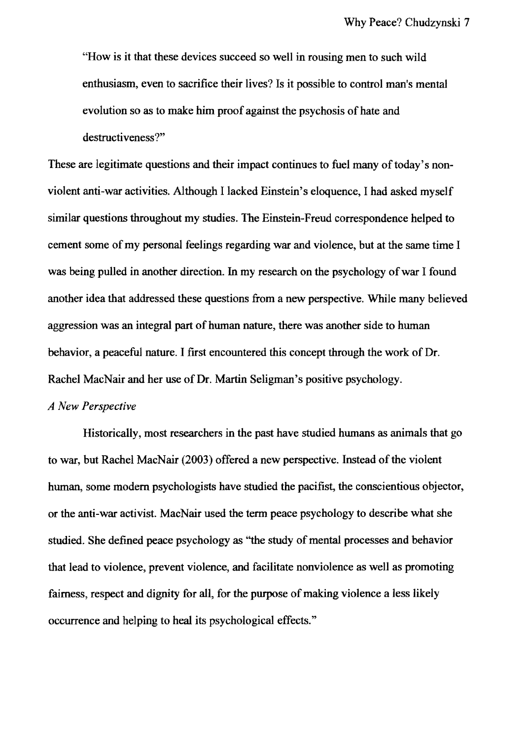"How is it that these devices succeed so well in rousing men to such wild enthusiasm, even to sacrifice their lives? Is it possible to control man's mental evolution so as to make him proof against the psychosis of hate and destructiveness?"

These are legitimate questions and their impact continues to fuel many of today's nonviolent anti-war activities. Although I lacked Einstein's eloquence, I had asked myself similar questions throughout my studies. The Einstein-Freud correspondence helped to cement some of my personal feelings regarding war and violence, but at the same time I was being pulled in another direction. In my research on the psychology of war I found another idea that addressed these questions from a new perspective. While many believed aggression was an integral part of human nature, there was another side to human behavior, a peaceful nature. I first encountered this concept through the work of Dr. Rachel MacNair and her use of Dr. Martin Seligman's positive psychology.

## *A New Perspective*

Historically, most researchers in the past have studied humans as animals that go to war, but Rachel MacNair (2003) offered a new perspective. Instead of the violent human, some modem psychologists have studied the pacifist, the conscientious objector, or the anti-war activist. MacNair used the term peace psychology to describe what she studied. She defined peace psychology as "the study of mental processes and behavior that lead to violence, prevent violence, and facilitate nonviolence as well as promoting fairness, respect and dignity for all, for the purpose of making violence a less likely occurrence and helping to heal its psychological effects."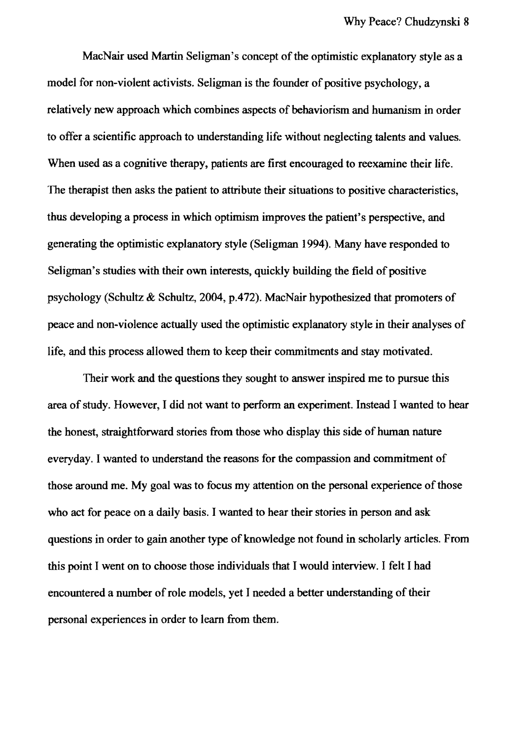MacNair used Martin Seligman's concept of the optimistic explanatory style as a model for non-violent activists. Seligman is the founder of positive psychology, a relatively new approach which combines aspects of behaviorism and humanism in order to offer a scientific approach to understanding life without neglecting talents and values. When used as a cognitive therapy, patients are first encouraged to reexamine their life. The therapist then asks the patient to attribute their situations to positive characteristics, thus developing a process in which optimism improves the patient's perspective, and generating the optimistic explanatory style (Seligman 1994). Many have responded to Seligman's studies with their own interests, quickly building the field of positive psychology (Schultz & Schultz, 2004, p.472). MacNair hypothesized that promoters of peace and non-violence actually used the optimistic explanatory style in their analyses of life, and this process allowed them to keep their commitments and stay motivated.

Their work and the questions they sought to answer inspired me to pursue this area of study. However, I did not want to perform an experiment. Instead I wanted to hear the honest, straightforward stories from those who display this side of human nature everyday. I wanted to understand the reasons for the compassion and commitment of those around me. My goal was to focus my attention on the personal experience of those who act for peace on a daily basis. I wanted to hear their stories in person and ask questions in order to gain another type of knowledge not found in scholarly articles. From this point I went on to choose those individuals that I would interview. I felt I had encountered a number of role models, yet I needed a better understanding of their personal experiences in order to learn from them.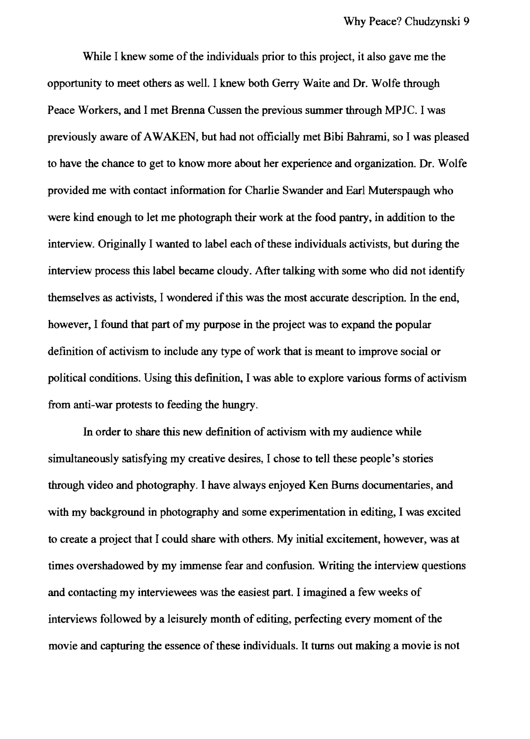While I knew some of the individuals prior to this project, it also gave me the opportunity to meet others as well. I knew both Gerry Waite and Dr. Wolfe through Peace Workers, and I met Brenna Cussen the previous summer through MPJC. I was previously aware of AWAKEN, but had not officially met Bibi Bahrami, so I was pleased to have the chance to get to know more about her experience and organization. Dr. Wolfe provided me with contact information for Charlie Swander and Earl Muterspaugh who were kind enough to let me photograph their work at the food pantry, in addition to the interview. Originally I wanted to label each of these individuals activists, but during the interview process this label became cloudy. After talking with some who did not identify themselves as activists, I wondered if this was the most accurate description. In the end, however, I found that part of my purpose in the project was to expand the popular definition of activism to include any type of work that is meant to improve social or political conditions. Using this definition, I was able to explore various forms of activism from anti-war protests to feeding the hungry.

In order to share this new definition of activism with my audience while simultaneously satisfying my creative desires, I chose to tell these people's stories through video and photography. I have always enjoyed Ken Burns documentaries, and with my background in photography and some experimentation in editing, I was excited to create a project that I could share with others. My initial excitement, however, was at times overshadowed by my immense fear and confusion. Writing the interview questions and contacting my interviewees was the easiest part. I imagined a few weeks of interviews followed by a leisurely month of editing, perfecting every moment of the movie and capturing the essence of these individuals. It turns out making a movie is not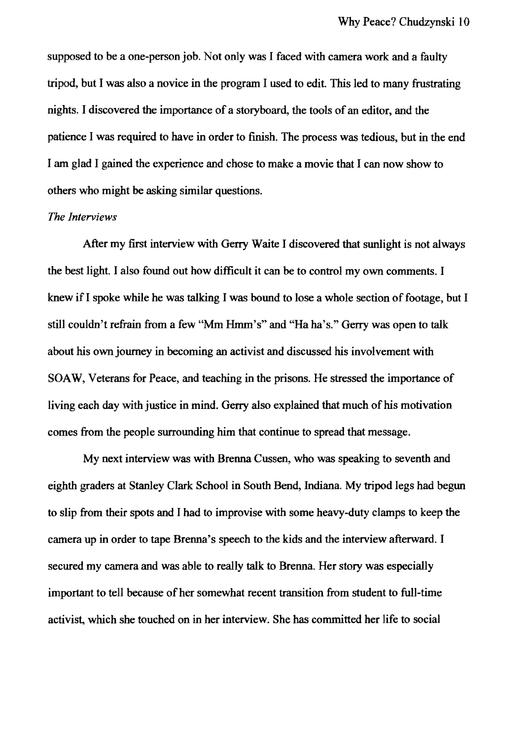supposed to be a one-person job. Not only was I faced with camera work and a faulty tripod, but I was also a novice in the program I used to edit. This led to many frustrating nights. I discovered the importance of a storyboard, the tools of an editor, and the patience I was required to have in order to finish. The process was tedious, but in the end I am glad I gained the experience and chose to make a movie that I can now show to others who might be asking similar questions.

#### *The Interviews*

After my first interview with Gerry Waite I discovered that sunlight is not always the best light. I also found out how difficult it can be to control my own comments. I knew if I spoke while he was talking I was bound to lose a whole section of footage, but I still couldn't refrain from a few "Mm Hmm's" and "Ha ha's." Gerry was open to talk about his own journey in becoming an activist and discussed his involvement with SOAW, Veterans for Peace, and teaching in the prisons. He stressed the importance of living each day with justice in mind. Gerry also explained that much of his motivation comes from the people surrounding him that continue to spread that message.

My next interview was with Brenna Cussen, who was speaking to seventh and eighth graders at Stanley Clark School in South Bend, Indiana. My tripod legs had begun to slip from their spots and I had to improvise with some heavy-duty clamps to keep the camera up in order to tape Brenna's speech to the kids and the interview afterward. I secured my camera and was able to really talk to Brenna. Her story was especially important to tell because of her somewhat recent transition from student to full-time activist, which she touched on in her interview. She has committed her life to social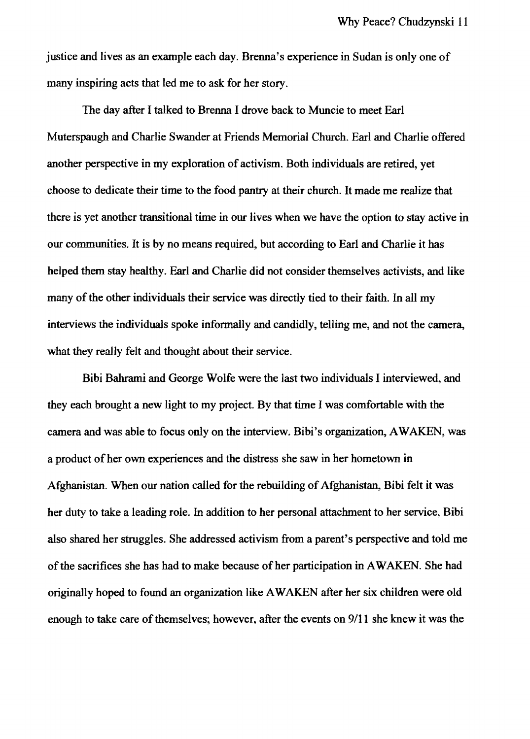justice and lives as an example each day. Brenna's experience in Sudan is only one of many inspiring acts that led me to ask for her story.

The day after I talked to Brenna I drove back to Muncie to meet Earl Muterspaugh and Charlie Swander at Friends Memorial Church. Earl and Charlie offered another perspective in my exploration of activism. Both individuals are retired, yet choose to dedicate their time to the food pantry at their church. It made me realize that there is yet another transitional time in our lives when we have the option to stay active in our communities. It is by no means required, but according to Earl and Charlie it has helped them stay healthy. Earl and Charlie did not consider themselves activists, and like many of the other individuals their service was directly tied to their faith. In all my interviews the individuals spoke informally and candidly, telling me, and not the camera, what they really felt and thought about their service.

Bibi Bahrami and George Wolfe were the last two individuals I interviewed, and they each brought a new light to my project. By that time I was comfortable with the camera and was able to focus only on the interview. Bibi's organization, A WAKEN, was a product of her own experiences and the distress she saw in her hometown in Afghanistan. When our nation called for the rebuilding of Afghanistan, Bibi felt it was her duty to take a leading role. In addition to her personal attachment to her service, Bibi also shared her struggles. She addressed activism from a parent's perspective and told me of the sacrifices she has had to make because of her participation in A WAKEN. She had originally hoped to found an organization like A WAKEN after her six children were old enough to take care of themselves; however, after the events on 9111 she knew it was the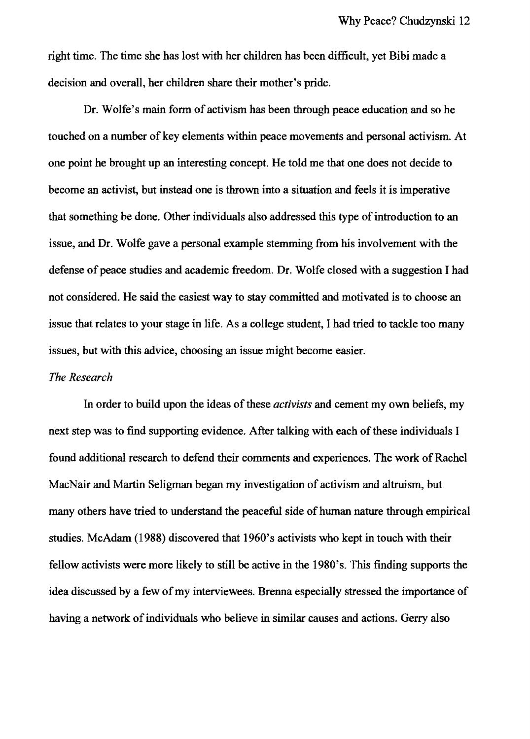right time. The time she has lost with her children has been difficult, yet Bibi made a decision and overall, her children share their mother's pride.

Dr. Wolfe's main form of activism has been through peace education and so he touched on a number of key elements within peace movements and personal activism. At one point he brought up an interesting concept. He told me that one does not decide to become an activist, but instead one is thrown into a situation and feels it is imperative that something be done. Other individuals also addressed this type of introduction to an issue, and Dr. Wolfe gave a personal example stemming from his involvement with the defense of peace studies and academic freedom. Dr. Wolfe closed with a suggestion I had not considered. He said the easiest way to stay committed and moti vated is to choose an issue that relates to your stage in life. As a college student, I had tried to tackle too many issues, but with this advice, choosing an issue might become easier.

#### *The Research*

In order to build upon the ideas of these *activists* and cement my own beliefs, my next step was to find supporting evidence. After talking with each of these individuals I found additional research to defend their comments and experiences. The work of Rachel MacNair and Martin Seligman began my investigation of activism and altruism, but many others have tried to understand the peaceful side of human nature through empirical studies. McAdam (1988) discovered that 1960's activists who kept in touch with their fellow activists were more likely to still be active in the 1980's. This finding supports the idea discussed by a few of my interviewees. Brenna especially stressed the importance of having a network of individuals who believe in similar causes and actions. Gerry also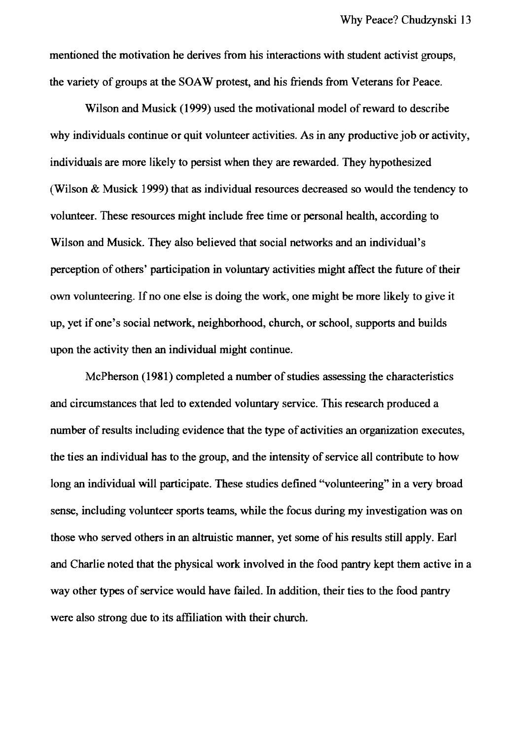mentioned the motivation he derives from his interactions with student activist groups, the variety of groups at the SOA W protest, and his friends from Veterans for Peace.

Wilson and Musick (1999) used the motivational model of reward to describe why individuals continue or quit volunteer activities. As in any productive job or activity, individuals are more likely to persist when they are rewarded. They hypothesized (Wilson & Musick 1999) that as individual resources decreased so would the tendency to volunteer. These resources might include free time or personal health, according to Wilson and Musick. They also believed that social networks and an individual's perception of others' participation in voluntary activities might affect the future of their own volunteering. If no one else is doing the work, one might be more likely to give it up, yet if one's social network, neighborhood, church, or school, supports and builds upon the activity then an individual might continue.

McPherson (1981) completed a number of studies assessing the characteristics and circumstances that led to extended voluntary service. This research produced a number of results including evidence that the type of activities an organization executes, the ties an individual has to the group, and the intensity of service all contribute to how long an individual will participate. These studies defined "volunteering" in a very broad sense, including volunteer sports teams, while the focus during my investigation was on those who served others in an altruistic manner, yet some of his results still apply. Earl and Charlie noted that the physical work involved in the food pantry kept them active in a way other types of service would have failed. In addition, their ties to the food pantry were also strong due to its affiliation with their church.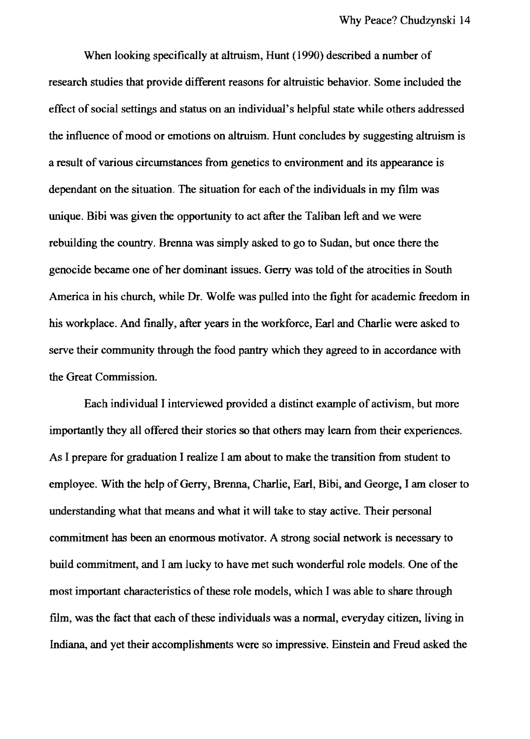When looking specifically at altruism, Hunt (1990) described a number of research studies that provide different reasons for altruistic behavior. Some included the effect of social settings and status on an individual's helpful state while others addressed the influence of mood or emotions on altruism. Hunt concludes by suggesting altruism is a result of various circumstances from genetics to environment and its appearance is dependant on the situation. The situation for each of the individuals in my film was unique. Bibi was given the opportunity to act after the Taliban left and we were rebuilding the country. Brenna was simply asked to go to Sudan, but once there the genocide became one of her dominant issues. Gerry was told of the atrocities in South America in his church, while Dr. Wolfe was pulled into the fight for academic freedom in his workplace. And finally, after years in the workforce, Earl and Charlie were asked to serve their community through the food pantry which they agreed to in accordance with the Great Commission.

Each individual I interviewed provided a distinct example of activism, but more importantly they all offered their stories so that others may learn from their experiences. As I prepare for graduation I realize I am about to make the transition from student to employee. With the help of Gerry, Brenna, Charlie, Earl, Bibi, and George, I am closer to understanding what that means and what it will take to stay active. Their personal commitment has been an enormous motivator. A strong social network is necessary to build commitment, and I am lucky to have met such wonderful role models. One of the most important characteristics of these role models, which I was able to share through film, was the fact that each of these individuals was a normal, everyday citizen, living in Indiana, and yet their accomplishments were so impressive. Einstein and Freud asked the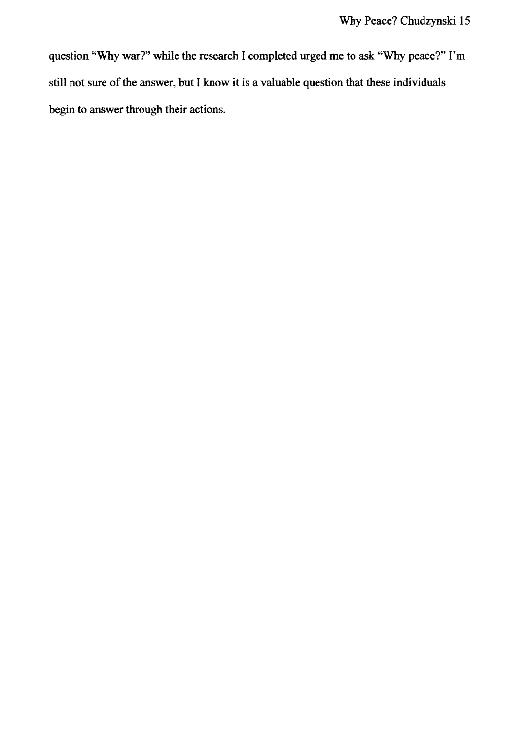question "Why war?" while the research I completed urged me to ask "Why peace?" I'm still not sure of the answer, but I know it is a valuable question that these individuals begin to answer through their actions.